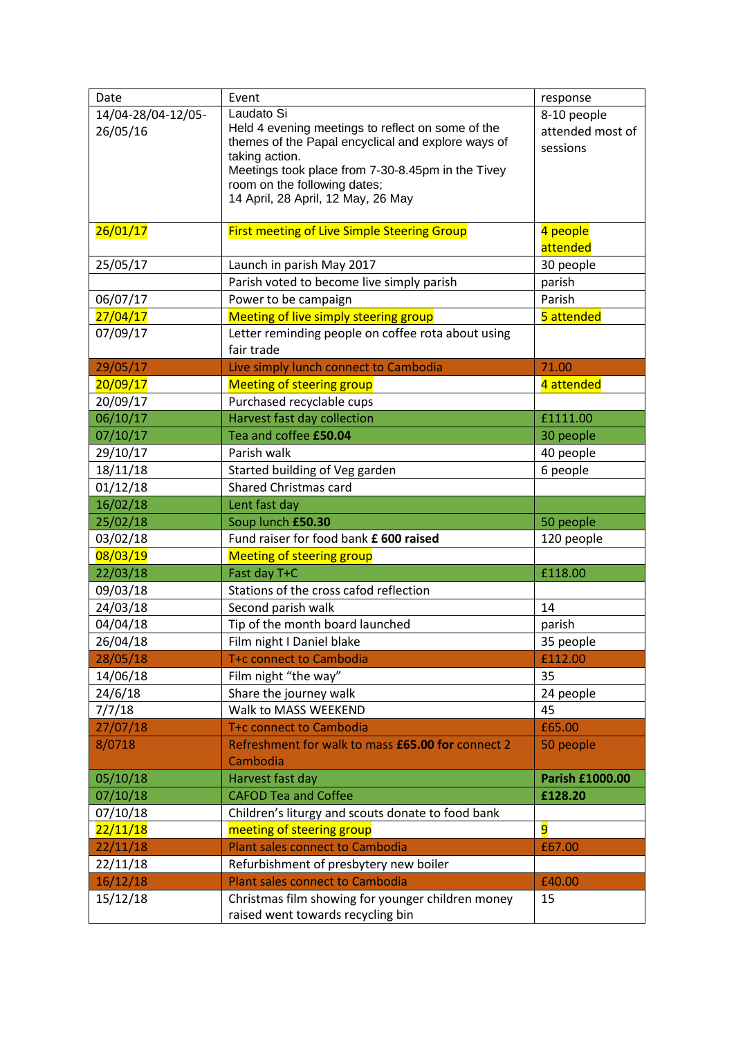| Date               | Event                                                               | response         |
|--------------------|---------------------------------------------------------------------|------------------|
| 14/04-28/04-12/05- | Laudato Si                                                          | 8-10 people      |
| 26/05/16           | Held 4 evening meetings to reflect on some of the                   | attended most of |
|                    | themes of the Papal encyclical and explore ways of                  | sessions         |
|                    | taking action.<br>Meetings took place from 7-30-8.45pm in the Tivey |                  |
|                    | room on the following dates;                                        |                  |
|                    | 14 April, 28 April, 12 May, 26 May                                  |                  |
|                    |                                                                     |                  |
| 26/01/17           | <b>First meeting of Live Simple Steering Group</b>                  | 4 people         |
|                    |                                                                     | attended         |
| 25/05/17           | Launch in parish May 2017                                           | 30 people        |
|                    | Parish voted to become live simply parish                           | parish           |
| 06/07/17           | Power to be campaign                                                | Parish           |
| 27/04/17           | <b>Meeting of live simply steering group</b>                        | 5 attended       |
| 07/09/17           | Letter reminding people on coffee rota about using                  |                  |
|                    | fair trade                                                          |                  |
| 29/05/17           | Live simply lunch connect to Cambodia                               | 71.00            |
| 20/09/17           | <b>Meeting of steering group</b>                                    | 4 attended       |
| 20/09/17           | Purchased recyclable cups                                           |                  |
| 06/10/17           | Harvest fast day collection                                         | £1111.00         |
| 07/10/17           | Tea and coffee £50.04                                               | 30 people        |
| 29/10/17           | Parish walk                                                         | 40 people        |
| 18/11/18           | Started building of Veg garden                                      | 6 people         |
| 01/12/18           | <b>Shared Christmas card</b>                                        |                  |
| 16/02/18           | Lent fast day                                                       |                  |
| 25/02/18           | Soup lunch £50.30                                                   | 50 people        |
| 03/02/18           | Fund raiser for food bank £ 600 raised                              | 120 people       |
| 08/03/19           | <b>Meeting of steering group</b>                                    |                  |
| 22/03/18           | Fast day T+C                                                        | £118.00          |
| 09/03/18           | Stations of the cross cafod reflection                              |                  |
| 24/03/18           | Second parish walk                                                  | 14               |
| 04/04/18           | Tip of the month board launched                                     | parish           |
| 26/04/18           | Film night I Daniel blake                                           | 35 people        |
| 28/05/18           | T+c connect to Cambodia                                             | £112.00          |
| 14/06/18           | Film night "the way"                                                | 35               |
| 24/6/18            | Share the journey walk                                              | 24 people        |
| 7/7/18             | Walk to MASS WEEKEND                                                | 45               |
| 27/07/18           | T+c connect to Cambodia                                             | £65.00           |
| 8/0718             | Refreshment for walk to mass £65.00 for connect 2                   | 50 people        |
|                    | Cambodia                                                            |                  |
| 05/10/18           | Harvest fast day                                                    | Parish £1000.00  |
| 07/10/18           | <b>CAFOD Tea and Coffee</b>                                         | £128.20          |
| 07/10/18           | Children's liturgy and scouts donate to food bank                   |                  |
| 22/11/18           | meeting of steering group                                           | $\overline{9}$   |
| 22/11/18           | <b>Plant sales connect to Cambodia</b>                              | £67.00           |
| 22/11/18           | Refurbishment of presbytery new boiler                              |                  |
| 16/12/18           | <b>Plant sales connect to Cambodia</b>                              | £40.00           |
| 15/12/18           | Christmas film showing for younger children money                   | 15               |
|                    | raised went towards recycling bin                                   |                  |